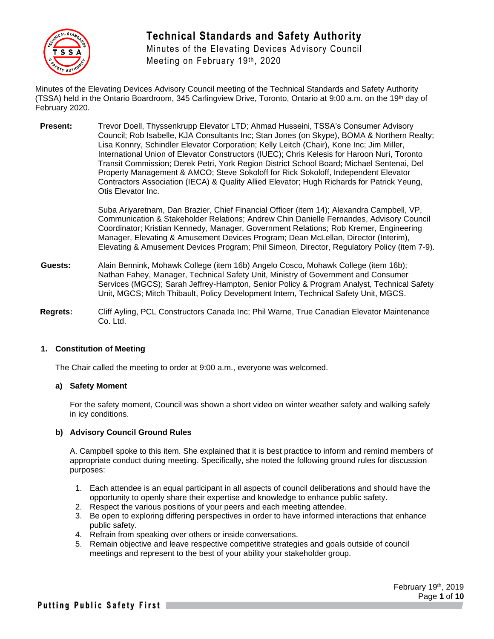

Minutes of the Elevating Devices Advisory Council Meeting on February 19th, 2020

Minutes of the Elevating Devices Advisory Council meeting of the Technical Standards and Safety Authority (TSSA) held in the Ontario Boardroom, 345 Carlingview Drive, Toronto, Ontario at 9:00 a.m. on the 19<sup>th</sup> day of February 2020.

**Present:** Trevor Doell, Thyssenkrupp Elevator LTD; Ahmad Husseini, TSSA's Consumer Advisory Council; Rob Isabelle, KJA Consultants Inc; Stan Jones (on Skype), BOMA & Northern Realty; Lisa Konnry, Schindler Elevator Corporation; Kelly Leitch (Chair), Kone Inc; Jim Miller, International Union of Elevator Constructors (IUEC); Chris Kelesis for Haroon Nuri, Toronto Transit Commission; Derek Petri, York Region District School Board; Michael Sentenai, Del Property Management & AMCO; Steve Sokoloff for Rick Sokoloff, Independent Elevator Contractors Association (IECA) & Quality Allied Elevator; Hugh Richards for Patrick Yeung, Otis Elevator Inc.

> Suba Ariyaretnam, Dan Brazier, Chief Financial Officer (item 14); Alexandra Campbell, VP, Communication & Stakeholder Relations; Andrew Chin Danielle Fernandes, Advisory Council Coordinator; Kristian Kennedy, Manager, Government Relations; Rob Kremer, Engineering Manager, Elevating & Amusement Devices Program; Dean McLellan, Director (Interim), Elevating & Amusement Devices Program; Phil Simeon, Director, Regulatory Policy (item 7-9).

- **Guests:** Alain Bennink, Mohawk College (item 16b) Angelo Cosco, Mohawk College (item 16b); Nathan Fahey, Manager, Technical Safety Unit, Ministry of Government and Consumer Services (MGCS); Sarah Jeffrey-Hampton, Senior Policy & Program Analyst, Technical Safety Unit, MGCS; Mitch Thibault, Policy Development Intern, Technical Safety Unit, MGCS.
- **Regrets:** Cliff Ayling, PCL Constructors Canada Inc; Phil Warne, True Canadian Elevator Maintenance Co. Ltd.

#### **1. Constitution of Meeting**

The Chair called the meeting to order at 9:00 a.m., everyone was welcomed.

#### **a) Safety Moment**

For the safety moment, Council was shown a short video on winter weather safety and walking safely in icy conditions.

#### **b) Advisory Council Ground Rules**

A. Campbell spoke to this item. She explained that it is best practice to inform and remind members of appropriate conduct during meeting. Specifically, she noted the following ground rules for discussion purposes:

- 1. Each attendee is an equal participant in all aspects of council deliberations and should have the opportunity to openly share their expertise and knowledge to enhance public safety.
- 2. Respect the various positions of your peers and each meeting attendee.
- 3. Be open to exploring differing perspectives in order to have informed interactions that enhance public safety.
- 4. Refrain from speaking over others or inside conversations.
- 5. Remain objective and leave respective competitive strategies and goals outside of council meetings and represent to the best of your ability your stakeholder group.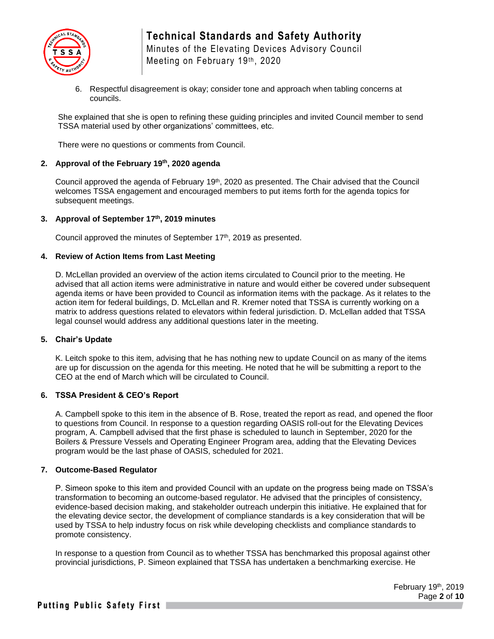

### **Technical Standards and Safety Authority** Minutes of the Elevating Devices Advisory Council

Meeting on February 19th, 2020

6. Respectful disagreement is okay; consider tone and approach when tabling concerns at councils.

She explained that she is open to refining these guiding principles and invited Council member to send TSSA material used by other organizations' committees, etc.

There were no questions or comments from Council.

#### **2. Approval of the February 19th, 2020 agenda**

Council approved the agenda of February 19<sup>th</sup>, 2020 as presented. The Chair advised that the Council welcomes TSSA engagement and encouraged members to put items forth for the agenda topics for subsequent meetings.

#### **3. Approval of September 17th, 2019 minutes**

Council approved the minutes of September 17<sup>th</sup>, 2019 as presented.

#### **4. Review of Action Items from Last Meeting**

D. McLellan provided an overview of the action items circulated to Council prior to the meeting. He advised that all action items were administrative in nature and would either be covered under subsequent agenda items or have been provided to Council as information items with the package. As it relates to the action item for federal buildings, D. McLellan and R. Kremer noted that TSSA is currently working on a matrix to address questions related to elevators within federal jurisdiction. D. McLellan added that TSSA legal counsel would address any additional questions later in the meeting.

#### **5. Chair's Update**

K. Leitch spoke to this item, advising that he has nothing new to update Council on as many of the items are up for discussion on the agenda for this meeting. He noted that he will be submitting a report to the CEO at the end of March which will be circulated to Council.

#### **6. TSSA President & CEO's Report**

A. Campbell spoke to this item in the absence of B. Rose, treated the report as read, and opened the floor to questions from Council. In response to a question regarding OASIS roll-out for the Elevating Devices program, A. Campbell advised that the first phase is scheduled to launch in September, 2020 for the Boilers & Pressure Vessels and Operating Engineer Program area, adding that the Elevating Devices program would be the last phase of OASIS, scheduled for 2021.

#### **7. Outcome-Based Regulator**

P. Simeon spoke to this item and provided Council with an update on the progress being made on TSSA's transformation to becoming an outcome-based regulator. He advised that the principles of consistency, evidence-based decision making, and stakeholder outreach underpin this initiative. He explained that for the elevating device sector, the development of compliance standards is a key consideration that will be used by TSSA to help industry focus on risk while developing checklists and compliance standards to promote consistency.

In response to a question from Council as to whether TSSA has benchmarked this proposal against other provincial jurisdictions, P. Simeon explained that TSSA has undertaken a benchmarking exercise. He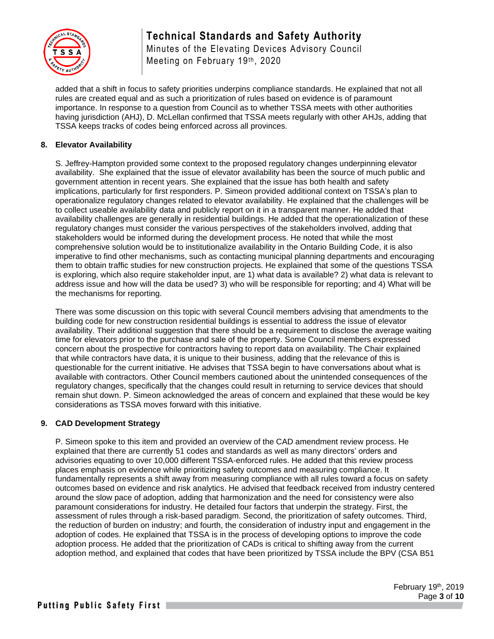

Minutes of the Elevating Devices Advisory Council Meeting on February 19th, 2020

added that a shift in focus to safety priorities underpins compliance standards. He explained that not all rules are created equal and as such a prioritization of rules based on evidence is of paramount importance. In response to a question from Council as to whether TSSA meets with other authorities having jurisdiction (AHJ), D. McLellan confirmed that TSSA meets regularly with other AHJs, adding that TSSA keeps tracks of codes being enforced across all provinces.

#### **8. Elevator Availability**

S. Jeffrey-Hampton provided some context to the proposed regulatory changes underpinning elevator availability. She explained that the issue of elevator availability has been the source of much public and government attention in recent years. She explained that the issue has both health and safety implications, particularly for first responders. P. Simeon provided additional context on TSSA's plan to operationalize regulatory changes related to elevator availability. He explained that the challenges will be to collect useable availability data and publicly report on it in a transparent manner. He added that availability challenges are generally in residential buildings. He added that the operationalization of these regulatory changes must consider the various perspectives of the stakeholders involved, adding that stakeholders would be informed during the development process. He noted that while the most comprehensive solution would be to institutionalize availability in the Ontario Building Code, it is also imperative to find other mechanisms, such as contacting municipal planning departments and encouraging them to obtain traffic studies for new construction projects. He explained that some of the questions TSSA is exploring, which also require stakeholder input, are 1) what data is available? 2) what data is relevant to address issue and how will the data be used? 3) who will be responsible for reporting; and 4) What will be the mechanisms for reporting.

There was some discussion on this topic with several Council members advising that amendments to the building code for new construction residential buildings is essential to address the issue of elevator availability. Their additional suggestion that there should be a requirement to disclose the average waiting time for elevators prior to the purchase and sale of the property. Some Council members expressed concern about the prospective for contractors having to report data on availability. The Chair explained that while contractors have data, it is unique to their business, adding that the relevance of this is questionable for the current initiative. He advises that TSSA begin to have conversations about what is available with contractors. Other Council members cautioned about the unintended consequences of the regulatory changes, specifically that the changes could result in returning to service devices that should remain shut down. P. Simeon acknowledged the areas of concern and explained that these would be key considerations as TSSA moves forward with this initiative.

#### **9. CAD Development Strategy**

P. Simeon spoke to this item and provided an overview of the CAD amendment review process. He explained that there are currently 51 codes and standards as well as many directors' orders and advisories equating to over 10,000 different TSSA-enforced rules. He added that this review process places emphasis on evidence while prioritizing safety outcomes and measuring compliance. It fundamentally represents a shift away from measuring compliance with all rules toward a focus on safety outcomes based on evidence and risk analytics. He advised that feedback received from industry centered around the slow pace of adoption, adding that harmonization and the need for consistency were also paramount considerations for industry. He detailed four factors that underpin the strategy. First, the assessment of rules through a risk-based paradigm. Second, the prioritization of safety outcomes. Third, the reduction of burden on industry; and fourth, the consideration of industry input and engagement in the adoption of codes. He explained that TSSA is in the process of developing options to improve the code adoption process. He added that the prioritization of CADs is critical to shifting away from the current adoption method, and explained that codes that have been prioritized by TSSA include the BPV (CSA B51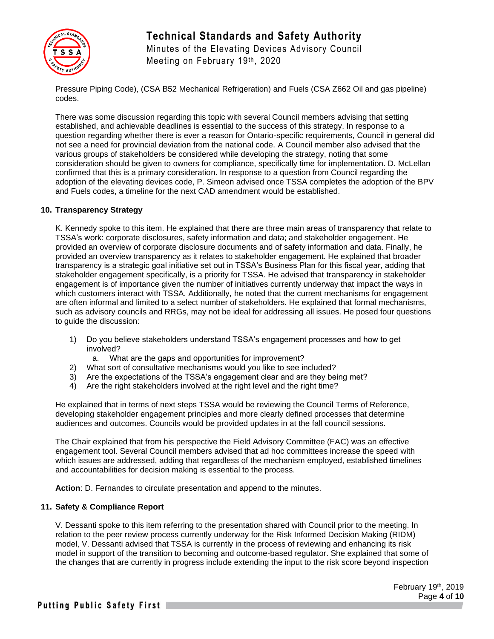

Minutes of the Elevating Devices Advisory Council Meeting on February 19th, 2020

Pressure Piping Code), (CSA B52 Mechanical Refrigeration) and Fuels (CSA Z662 Oil and gas pipeline) codes.

There was some discussion regarding this topic with several Council members advising that setting established, and achievable deadlines is essential to the success of this strategy. In response to a question regarding whether there is ever a reason for Ontario-specific requirements, Council in general did not see a need for provincial deviation from the national code. A Council member also advised that the various groups of stakeholders be considered while developing the strategy, noting that some consideration should be given to owners for compliance, specifically time for implementation. D. McLellan confirmed that this is a primary consideration. In response to a question from Council regarding the adoption of the elevating devices code, P. Simeon advised once TSSA completes the adoption of the BPV and Fuels codes, a timeline for the next CAD amendment would be established.

#### **10. Transparency Strategy**

K. Kennedy spoke to this item. He explained that there are three main areas of transparency that relate to TSSA's work: corporate disclosures, safety information and data; and stakeholder engagement. He provided an overview of corporate disclosure documents and of safety information and data. Finally, he provided an overview transparency as it relates to stakeholder engagement. He explained that broader transparency is a strategic goal initiative set out in TSSA's Business Plan for this fiscal year, adding that stakeholder engagement specifically, is a priority for TSSA. He advised that transparency in stakeholder engagement is of importance given the number of initiatives currently underway that impact the ways in which customers interact with TSSA. Additionally, he noted that the current mechanisms for engagement are often informal and limited to a select number of stakeholders. He explained that formal mechanisms, such as advisory councils and RRGs, may not be ideal for addressing all issues. He posed four questions to guide the discussion:

- 1) Do you believe stakeholders understand TSSA's engagement processes and how to get involved?
	- a. What are the gaps and opportunities for improvement?
- 2) What sort of consultative mechanisms would you like to see included?
- 3) Are the expectations of the TSSA's engagement clear and are they being met?
- 4) Are the right stakeholders involved at the right level and the right time?

He explained that in terms of next steps TSSA would be reviewing the Council Terms of Reference, developing stakeholder engagement principles and more clearly defined processes that determine audiences and outcomes. Councils would be provided updates in at the fall council sessions.

The Chair explained that from his perspective the Field Advisory Committee (FAC) was an effective engagement tool. Several Council members advised that ad hoc committees increase the speed with which issues are addressed, adding that regardless of the mechanism employed, established timelines and accountabilities for decision making is essential to the process.

**Action**: D. Fernandes to circulate presentation and append to the minutes.

#### **11. Safety & Compliance Report**

V. Dessanti spoke to this item referring to the presentation shared with Council prior to the meeting. In relation to the peer review process currently underway for the Risk Informed Decision Making (RIDM) model, V. Dessanti advised that TSSA is currently in the process of reviewing and enhancing its risk model in support of the transition to becoming and outcome-based regulator. She explained that some of the changes that are currently in progress include extending the input to the risk score beyond inspection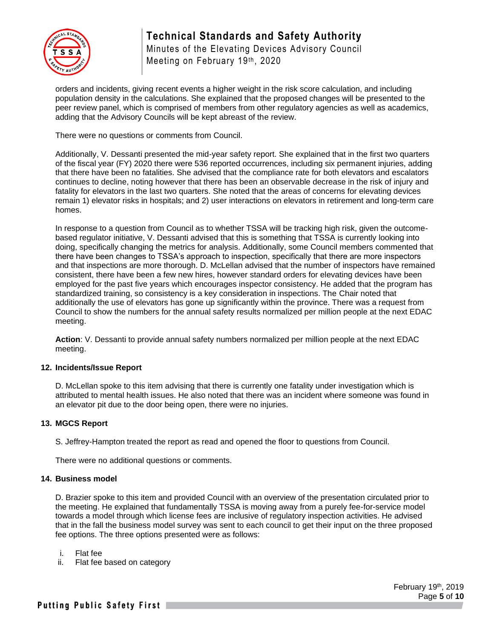

Minutes of the Elevating Devices Advisory Council Meeting on February 19th, 2020

orders and incidents, giving recent events a higher weight in the risk score calculation, and including population density in the calculations. She explained that the proposed changes will be presented to the peer review panel, which is comprised of members from other regulatory agencies as well as academics, adding that the Advisory Councils will be kept abreast of the review.

There were no questions or comments from Council.

Additionally, V. Dessanti presented the mid-year safety report. She explained that in the first two quarters of the fiscal year (FY) 2020 there were 536 reported occurrences, including six permanent injuries, adding that there have been no fatalities. She advised that the compliance rate for both elevators and escalators continues to decline, noting however that there has been an observable decrease in the risk of injury and fatality for elevators in the last two quarters. She noted that the areas of concerns for elevating devices remain 1) elevator risks in hospitals; and 2) user interactions on elevators in retirement and long-term care homes.

In response to a question from Council as to whether TSSA will be tracking high risk, given the outcomebased regulator initiative, V. Dessanti advised that this is something that TSSA is currently looking into doing, specifically changing the metrics for analysis. Additionally, some Council members commented that there have been changes to TSSA's approach to inspection, specifically that there are more inspectors and that inspections are more thorough. D. McLellan advised that the number of inspectors have remained consistent, there have been a few new hires, however standard orders for elevating devices have been employed for the past five years which encourages inspector consistency. He added that the program has standardized training, so consistency is a key consideration in inspections. The Chair noted that additionally the use of elevators has gone up significantly within the province. There was a request from Council to show the numbers for the annual safety results normalized per million people at the next EDAC meeting.

**Action**: V. Dessanti to provide annual safety numbers normalized per million people at the next EDAC meeting.

#### **12. Incidents/Issue Report**

D. McLellan spoke to this item advising that there is currently one fatality under investigation which is attributed to mental health issues. He also noted that there was an incident where someone was found in an elevator pit due to the door being open, there were no injuries.

#### **13. MGCS Report**

S. Jeffrey-Hampton treated the report as read and opened the floor to questions from Council.

There were no additional questions or comments.

#### **14. Business model**

D. Brazier spoke to this item and provided Council with an overview of the presentation circulated prior to the meeting. He explained that fundamentally TSSA is moving away from a purely fee-for-service model towards a model through which license fees are inclusive of regulatory inspection activities. He advised that in the fall the business model survey was sent to each council to get their input on the three proposed fee options. The three options presented were as follows:

- i. Flat fee
- ii. Flat fee based on category

 February 19th, 2019 Page **5** of **10**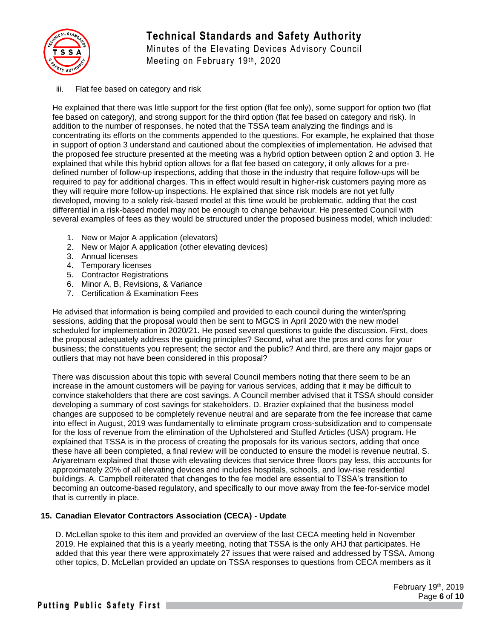

Minutes of the Elevating Devices Advisory Council Meeting on February 19th, 2020

#### iii. Flat fee based on category and risk

He explained that there was little support for the first option (flat fee only), some support for option two (flat fee based on category), and strong support for the third option (flat fee based on category and risk). In addition to the number of responses, he noted that the TSSA team analyzing the findings and is concentrating its efforts on the comments appended to the questions. For example, he explained that those in support of option 3 understand and cautioned about the complexities of implementation. He advised that the proposed fee structure presented at the meeting was a hybrid option between option 2 and option 3. He explained that while this hybrid option allows for a flat fee based on category, it only allows for a predefined number of follow-up inspections, adding that those in the industry that require follow-ups will be required to pay for additional charges. This in effect would result in higher-risk customers paying more as they will require more follow-up inspections. He explained that since risk models are not yet fully developed, moving to a solely risk-based model at this time would be problematic, adding that the cost differential in a risk-based model may not be enough to change behaviour. He presented Council with several examples of fees as they would be structured under the proposed business model, which included:

- 1. New or Major A application (elevators)
- 2. New or Major A application (other elevating devices)
- 3. Annual licenses
- 4. Temporary licenses
- 5. Contractor Registrations
- 6. Minor A, B, Revisions, & Variance
- 7. Certification & Examination Fees

He advised that information is being compiled and provided to each council during the winter/spring sessions, adding that the proposal would then be sent to MGCS in April 2020 with the new model scheduled for implementation in 2020/21. He posed several questions to guide the discussion. First, does the proposal adequately address the guiding principles? Second, what are the pros and cons for your business; the constituents you represent; the sector and the public? And third, are there any major gaps or outliers that may not have been considered in this proposal?

There was discussion about this topic with several Council members noting that there seem to be an increase in the amount customers will be paying for various services, adding that it may be difficult to convince stakeholders that there are cost savings. A Council member advised that it TSSA should consider developing a summary of cost savings for stakeholders. D. Brazier explained that the business model changes are supposed to be completely revenue neutral and are separate from the fee increase that came into effect in August, 2019 was fundamentally to eliminate program cross-subsidization and to compensate for the loss of revenue from the elimination of the Upholstered and Stuffed Articles (USA) program. He explained that TSSA is in the process of creating the proposals for its various sectors, adding that once these have all been completed, a final review will be conducted to ensure the model is revenue neutral. S. Ariyaretnam explained that those with elevating devices that service three floors pay less, this accounts for approximately 20% of all elevating devices and includes hospitals, schools, and low-rise residential buildings. A. Campbell reiterated that changes to the fee model are essential to TSSA's transition to becoming an outcome-based regulatory, and specifically to our move away from the fee-for-service model that is currently in place.

#### **15. Canadian Elevator Contractors Association (CECA) - Update**

D. McLellan spoke to this item and provided an overview of the last CECA meeting held in November 2019. He explained that this is a yearly meeting, noting that TSSA is the only AHJ that participates. He added that this year there were approximately 27 issues that were raised and addressed by TSSA. Among other topics, D. McLellan provided an update on TSSA responses to questions from CECA members as it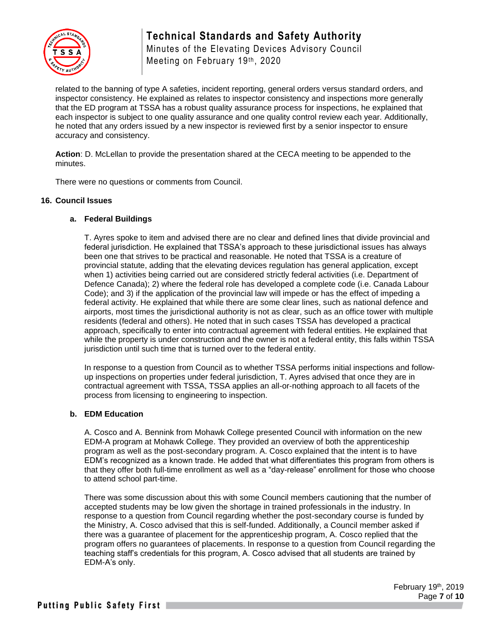

Minutes of the Elevating Devices Advisory Council Meeting on February 19th, 2020

related to the banning of type A safeties, incident reporting, general orders versus standard orders, and inspector consistency. He explained as relates to inspector consistency and inspections more generally that the ED program at TSSA has a robust quality assurance process for inspections, he explained that each inspector is subject to one quality assurance and one quality control review each year. Additionally, he noted that any orders issued by a new inspector is reviewed first by a senior inspector to ensure accuracy and consistency.

**Action**: D. McLellan to provide the presentation shared at the CECA meeting to be appended to the minutes.

There were no questions or comments from Council.

#### **16. Council Issues**

#### **a. Federal Buildings**

T. Ayres spoke to item and advised there are no clear and defined lines that divide provincial and federal jurisdiction. He explained that TSSA's approach to these jurisdictional issues has always been one that strives to be practical and reasonable. He noted that TSSA is a creature of provincial statute, adding that the elevating devices regulation has general application, except when 1) activities being carried out are considered strictly federal activities (i.e. Department of Defence Canada); 2) where the federal role has developed a complete code (i.e. Canada Labour Code); and 3) if the application of the provincial law will impede or has the effect of impeding a federal activity. He explained that while there are some clear lines, such as national defence and airports, most times the jurisdictional authority is not as clear, such as an office tower with multiple residents (federal and others). He noted that in such cases TSSA has developed a practical approach, specifically to enter into contractual agreement with federal entities. He explained that while the property is under construction and the owner is not a federal entity, this falls within TSSA jurisdiction until such time that is turned over to the federal entity.

In response to a question from Council as to whether TSSA performs initial inspections and followup inspections on properties under federal jurisdiction, T. Ayres advised that once they are in contractual agreement with TSSA, TSSA applies an all-or-nothing approach to all facets of the process from licensing to engineering to inspection.

#### **b. EDM Education**

A. Cosco and A. Bennink from Mohawk College presented Council with information on the new EDM-A program at Mohawk College. They provided an overview of both the apprenticeship program as well as the post-secondary program. A. Cosco explained that the intent is to have EDM's recognized as a known trade. He added that what differentiates this program from others is that they offer both full-time enrollment as well as a "day-release" enrollment for those who choose to attend school part-time.

There was some discussion about this with some Council members cautioning that the number of accepted students may be low given the shortage in trained professionals in the industry. In response to a question from Council regarding whether the post-secondary course is funded by the Ministry, A. Cosco advised that this is self-funded. Additionally, a Council member asked if there was a guarantee of placement for the apprenticeship program, A. Cosco replied that the program offers no guarantees of placements. In response to a question from Council regarding the teaching staff's credentials for this program, A. Cosco advised that all students are trained by EDM-A's only.

> February 19th, 2019 Page **7** of **10**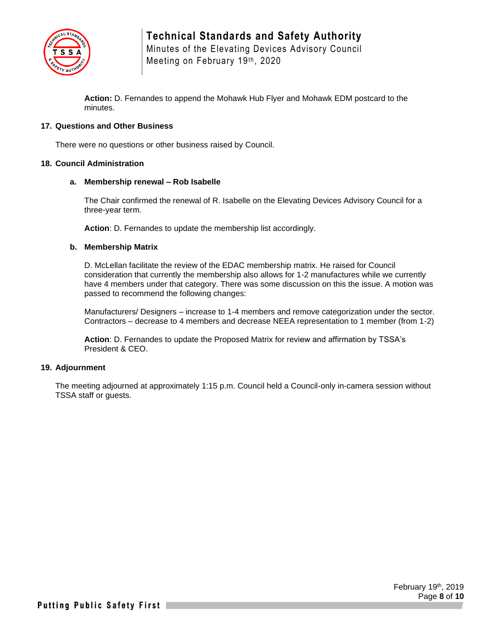

Minutes of the Elevating Devices Advisory Council Meeting on February 19th, 2020

**Action:** D. Fernandes to append the Mohawk Hub Flyer and Mohawk EDM postcard to the minutes.

#### **17. Questions and Other Business**

There were no questions or other business raised by Council.

#### **18. Council Administration**

#### **a. Membership renewal – Rob Isabelle**

The Chair confirmed the renewal of R. Isabelle on the Elevating Devices Advisory Council for a three-year term.

**Action**: D. Fernandes to update the membership list accordingly.

#### **b. Membership Matrix**

D. McLellan facilitate the review of the EDAC membership matrix. He raised for Council consideration that currently the membership also allows for 1-2 manufactures while we currently have 4 members under that category. There was some discussion on this the issue. A motion was passed to recommend the following changes:

Manufacturers/ Designers – increase to 1-4 members and remove categorization under the sector. Contractors – decrease to 4 members and decrease NEEA representation to 1 member (from 1-2)

**Action**: D. Fernandes to update the Proposed Matrix for review and affirmation by TSSA's President & CEO.

#### **19. Adjournment**

The meeting adjourned at approximately 1:15 p.m. Council held a Council-only in-camera session without TSSA staff or guests.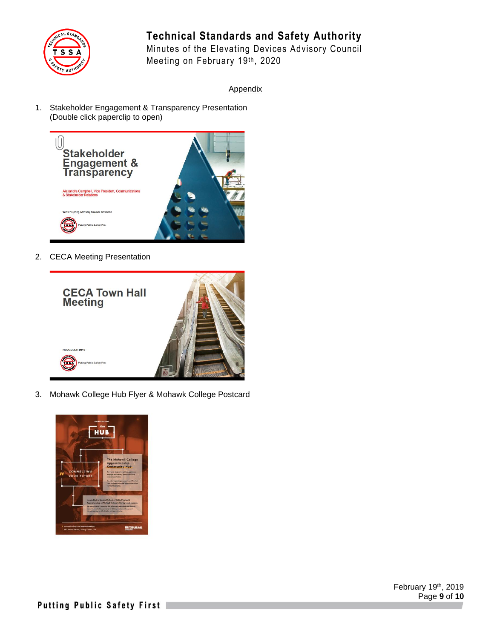

Minutes of the Elevating Devices Advisory Council Meeting on February 19th, 2020

#### Appendix

1. Stakeholder Engagement & Transparency Presentation (Double click paperclip to open)



2. CECA Meeting Presentation



3. Mohawk College Hub Flyer & Mohawk College Postcard